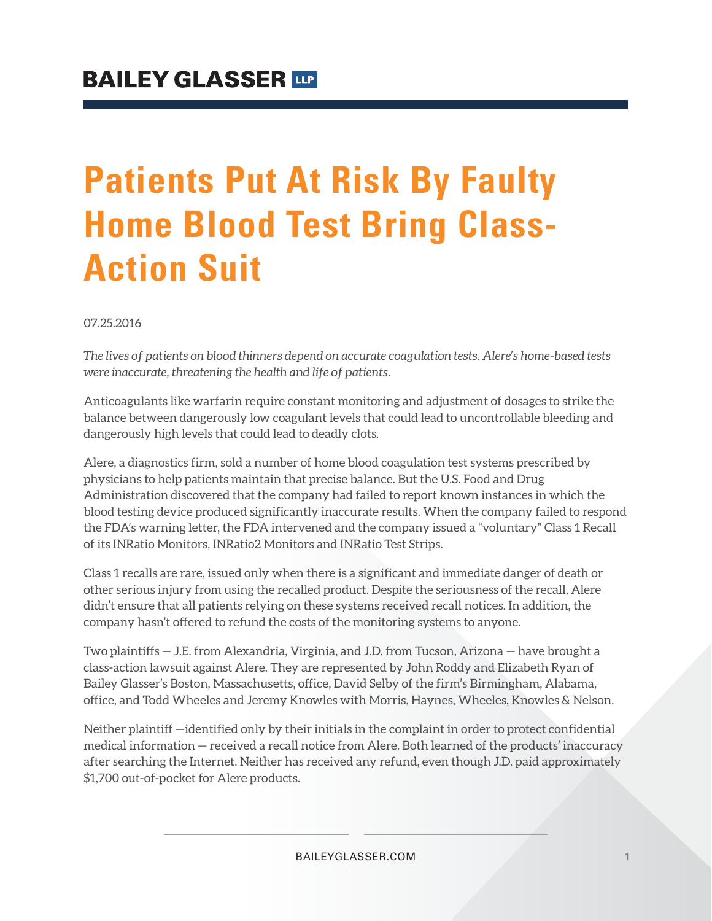## **Patients Put At Risk By Faulty Home Blood Test Bring Class-Action Suit**

07.25.2016

*The lives of patients on blood thinners depend on accurate coagulation tests. Alere's home-based tests were inaccurate, threatening the health and life of patients.*

Anticoagulants like warfarin require constant monitoring and adjustment of dosages to strike the balance between dangerously low coagulant levels that could lead to uncontrollable bleeding and dangerously high levels that could lead to deadly clots.

Alere, a diagnostics firm, sold a number of home blood coagulation test systems prescribed by physicians to help patients maintain that precise balance. But the U.S. Food and Drug Administration discovered that the company had failed to report known instances in which the blood testing device produced significantly inaccurate results. When the company failed to respond the FDA's warning letter, the FDA intervened and the company issued a "voluntary" Class 1 Recall of its INRatio Monitors, INRatio2 Monitors and INRatio Test Strips.

Class 1 recalls are rare, issued only when there is a significant and immediate danger of death or other serious injury from using the recalled product. Despite the seriousness of the recall, Alere didn't ensure that all patients relying on these systems received recall notices. In addition, the company hasn't offered to refund the costs of the monitoring systems to anyone.

Two plaintiffs — J.E. from Alexandria, Virginia, and J.D. from Tucson, Arizona — have brought a class-action lawsuit against Alere. They are represented by John Roddy and Elizabeth Ryan of Bailey Glasser's Boston, Massachusetts, office, David Selby of the firm's Birmingham, Alabama, office, and Todd Wheeles and Jeremy Knowles with Morris, Haynes, Wheeles, Knowles & Nelson.

Neither plaintiff —identified only by their initials in the complaint in order to protect confidential medical information — received a recall notice from Alere. Both learned of the products' inaccuracy after searching the Internet. Neither has received any refund, even though J.D. paid approximately \$1,700 out-of-pocket for Alere products.